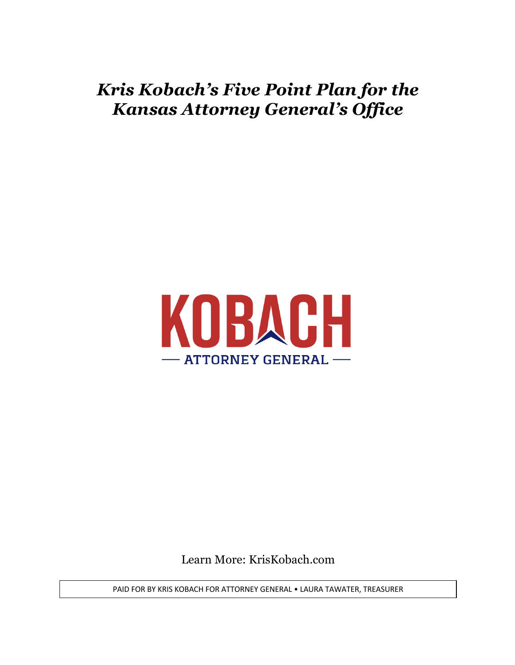## *Kris Kobach's Five Point Plan for the Kansas Attorney General's Office*



Learn More: KrisKobach.com

PAID FOR BY KRIS KOBACH FOR ATTORNEY GENERAL • LAURA TAWATER, TREASURER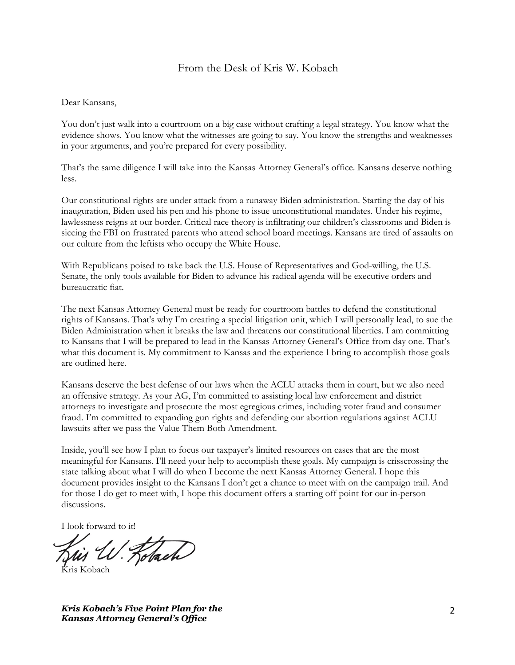#### From the Desk of Kris W. Kobach

#### Dear Kansans,

You don't just walk into a courtroom on a big case without crafting a legal strategy. You know what the evidence shows. You know what the witnesses are going to say. You know the strengths and weaknesses in your arguments, and you're prepared for every possibility.

That's the same diligence I will take into the Kansas Attorney General's office. Kansans deserve nothing less.

Our constitutional rights are under attack from a runaway Biden administration. Starting the day of his inauguration, Biden used his pen and his phone to issue unconstitutional mandates. Under his regime, lawlessness reigns at our border. Critical race theory is infiltrating our children's classrooms and Biden is siccing the FBI on frustrated parents who attend school board meetings. Kansans are tired of assaults on our culture from the leftists who occupy the White House.

With Republicans poised to take back the U.S. House of Representatives and God-willing, the U.S. Senate, the only tools available for Biden to advance his radical agenda will be executive orders and bureaucratic fiat.

The next Kansas Attorney General must be ready for courtroom battles to defend the constitutional rights of Kansans. That's why I'm creating a special litigation unit, which I will personally lead, to sue the Biden Administration when it breaks the law and threatens our constitutional liberties. I am committing to Kansans that I will be prepared to lead in the Kansas Attorney General's Office from day one. That's what this document is. My commitment to Kansas and the experience I bring to accomplish those goals are outlined here.

Kansans deserve the best defense of our laws when the ACLU attacks them in court, but we also need an offensive strategy. As your AG, I'm committed to assisting local law enforcement and district attorneys to investigate and prosecute the most egregious crimes, including voter fraud and consumer fraud. I'm committed to expanding gun rights and defending our abortion regulations against ACLU lawsuits after we pass the Value Them Both Amendment.

Inside, you'll see how I plan to focus our taxpayer's limited resources on cases that are the most meaningful for Kansans. I'll need your help to accomplish these goals. My campaign is crisscrossing the state talking about what I will do when I become the next Kansas Attorney General. I hope this document provides insight to the Kansans I don't get a chance to meet with on the campaign trail. And for those I do get to meet with, I hope this document offers a starting off point for our in-person discussions.

I look forward to it!

Robach

Kris Kobach

*Kris Kobach's Five Point Plan for the Kansas Attorney General's Office*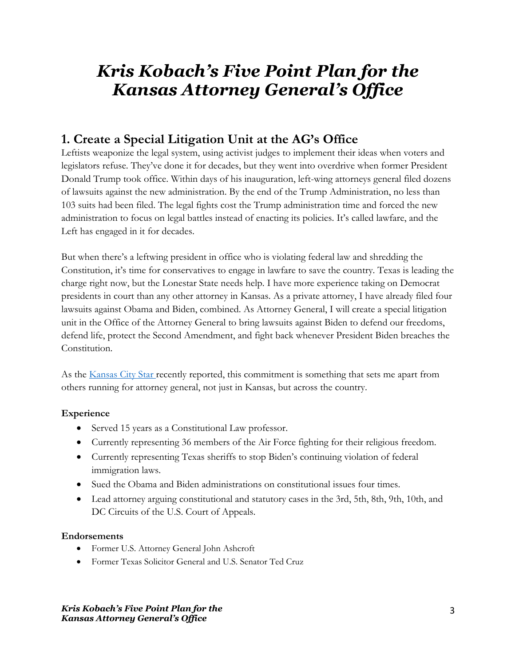# *Kris Kobach's Five Point Plan for the Kansas Attorney General's Office*

### **1. Create a Special Litigation Unit at the AG's Office**

Leftists weaponize the legal system, using activist judges to implement their ideas when voters and legislators refuse. They've done it for decades, but they went into overdrive when former President Donald Trump took office. Within days of his inauguration, left-wing attorneys general filed dozens of lawsuits against the new administration. By the end of the Trump Administration, no less than 103 suits had been filed. The legal fights cost the Trump administration time and forced the new administration to focus on legal battles instead of enacting its policies. It's called lawfare, and the Left has engaged in it for decades.

But when there's a leftwing president in office who is violating federal law and shredding the Constitution, it's time for conservatives to engage in lawfare to save the country. Texas is leading the charge right now, but the Lonestar State needs help. I have more experience taking on Democrat presidents in court than any other attorney in Kansas. As a private attorney, I have already filed four lawsuits against Obama and Biden, combined. As Attorney General, I will create a special litigation unit in the Office of the Attorney General to bring lawsuits against Biden to defend our freedoms, defend life, protect the Second Amendment, and fight back whenever President Biden breaches the Constitution.

As the Kansas City Star recently reported, this commitment is something that sets me apart from others running for attorney general, not just in Kansas, but across the country.

### **Experience**

- Served 15 years as a Constitutional Law professor.
- Currently representing 36 members of the Air Force fighting for their religious freedom.
- Currently representing Texas sheriffs to stop Biden's continuing violation of federal immigration laws.
- Sued the Obama and Biden administrations on constitutional issues four times.
- Lead attorney arguing constitutional and statutory cases in the 3rd, 5th, 8th, 9th, 10th, and DC Circuits of the U.S. Court of Appeals.

#### **Endorsements**

- Former U.S. Attorney General John Ashcroft
- Former Texas Solicitor General and U.S. Senator Ted Cruz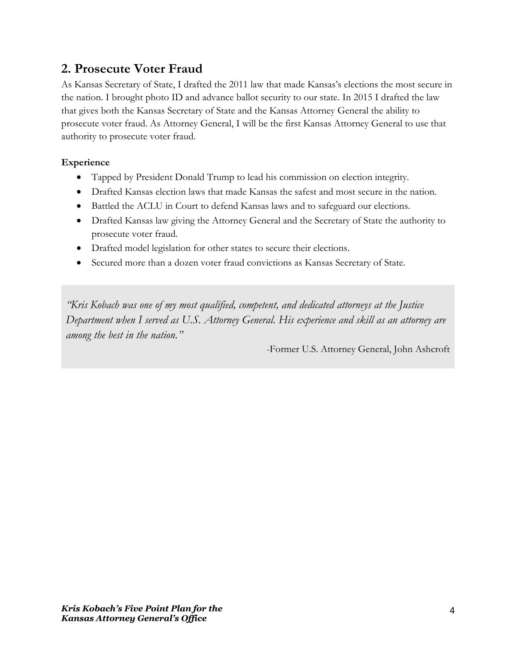### **2. Prosecute Voter Fraud**

As Kansas Secretary of State, I drafted the 2011 law that made Kansas's elections the most secure in the nation. I brought photo ID and advance ballot security to our state. In 2015 I drafted the law that gives both the Kansas Secretary of State and the Kansas Attorney General the ability to prosecute voter fraud. As Attorney General, I will be the first Kansas Attorney General to use that authority to prosecute voter fraud.

#### **Experience**

- Tapped by President Donald Trump to lead his commission on election integrity.
- Drafted Kansas election laws that made Kansas the safest and most secure in the nation.
- Battled the ACLU in Court to defend Kansas laws and to safeguard our elections.
- Drafted Kansas law giving the Attorney General and the Secretary of State the authority to prosecute voter fraud.
- Drafted model legislation for other states to secure their elections.
- Secured more than a dozen voter fraud convictions as Kansas Secretary of State.

*"Kris Kobach was one of my most qualified, competent, and dedicated attorneys at the Justice Department when I served as U.S. Attorney General. His experience and skill as an attorney are among the best in the nation."*

-Former U.S. Attorney General, John Ashcroft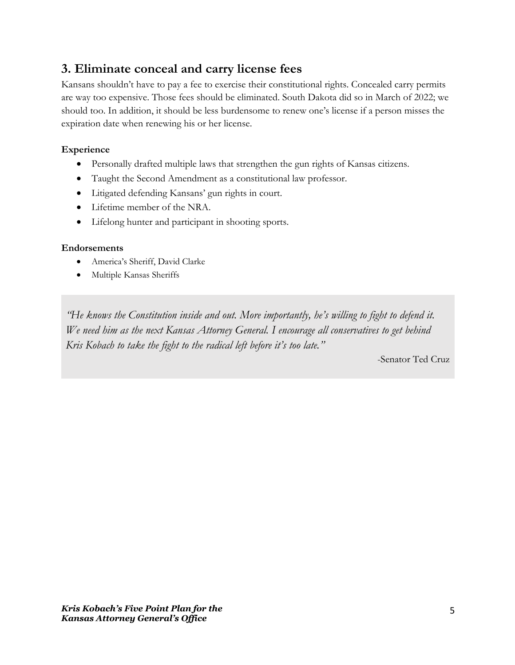### **3. Eliminate conceal and carry license fees**

Kansans shouldn't have to pay a fee to exercise their constitutional rights. Concealed carry permits are way too expensive. Those fees should be eliminated. South Dakota did so in March of 2022; we should too. In addition, it should be less burdensome to renew one's license if a person misses the expiration date when renewing his or her license.

#### **Experience**

- Personally drafted multiple laws that strengthen the gun rights of Kansas citizens.
- Taught the Second Amendment as a constitutional law professor.
- Litigated defending Kansans' gun rights in court.
- Lifetime member of the NRA.
- Lifelong hunter and participant in shooting sports.

#### **Endorsements**

- America's Sheriff, David Clarke
- Multiple Kansas Sheriffs

*"He knows the Constitution inside and out. More importantly, he's willing to fight to defend it. We need him as the next Kansas Attorney General. I encourage all conservatives to get behind Kris Kobach to take the fight to the radical left before it's too late."*

-Senator Ted Cruz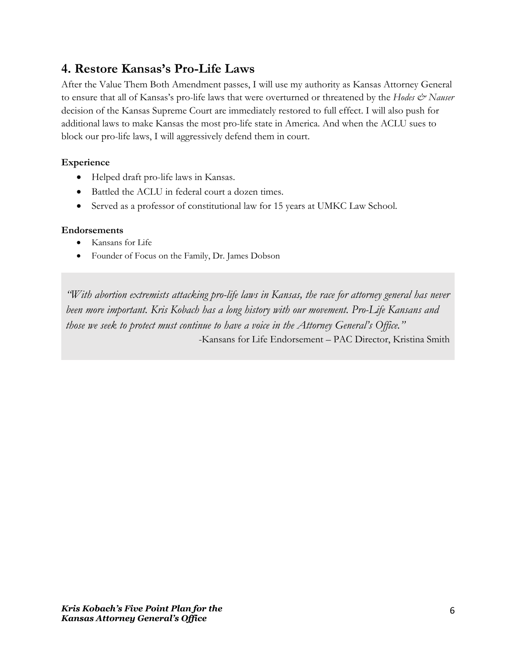### **4. Restore Kansas's Pro-Life Laws**

After the Value Them Both Amendment passes, I will use my authority as Kansas Attorney General to ensure that all of Kansas's pro-life laws that were overturned or threatened by the *Hodes*  $\mathcal{Q}$ <sup>*Nauser*</sup> decision of the Kansas Supreme Court are immediately restored to full effect. I will also push for additional laws to make Kansas the most pro-life state in America. And when the ACLU sues to block our pro-life laws, I will aggressively defend them in court.

### **Experience**

- Helped draft pro-life laws in Kansas.
- Battled the ACLU in federal court a dozen times.
- Served as a professor of constitutional law for 15 years at UMKC Law School.

### **Endorsements**

- Kansans for Life
- Founder of Focus on the Family, Dr. James Dobson

*"With abortion extremists attacking pro-life laws in Kansas, the race for attorney general has never been more important. Kris Kobach has a long history with our movement. Pro-Life Kansans and those we seek to protect must continue to have a voice in the Attorney General's Office."* -Kansans for Life Endorsement – PAC Director, Kristina Smith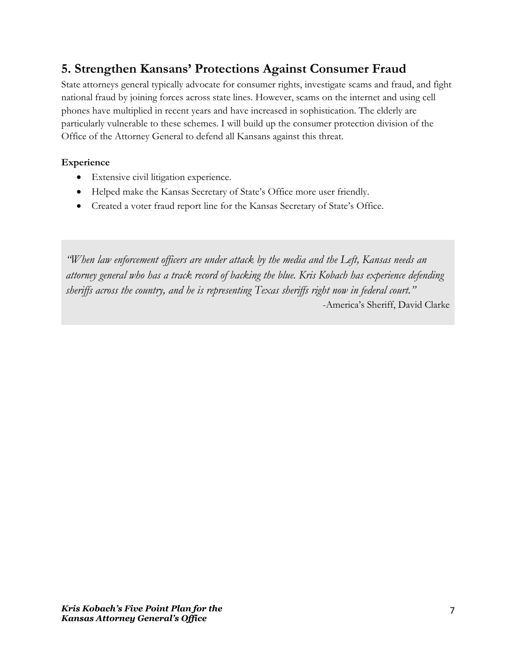## **5. Strengthen Kansans' Protections Against Consumer Fraud**

State attorneys general typically advocate for consumer rights, investigate scams and fraud, and fight national fraud by joining forces across state lines. However, scams on the internet and using cell phones have multiplied in recent years and have increased in sophistication. The elderly are particularly vulnerable to these schemes. I will build up the consumer protection division of the Office of the Attorney General to defend all Kansans against this threat.

### **Experience**

- Extensive civil litigation experience.
- Helped make the Kansas Secretary of State's Office more user friendly.
- Created a voter fraud report line for the Kansas Secretary of State's Office.

*"When law enforcement officers are under attack by the media and the Left, Kansas needs an attorney general who has a track record of backing the blue. Kris Kobach has experience defending sheriffs across the country, and he is representing Texas sheriffs right now in federal court."* -America's Sheriff, David Clarke